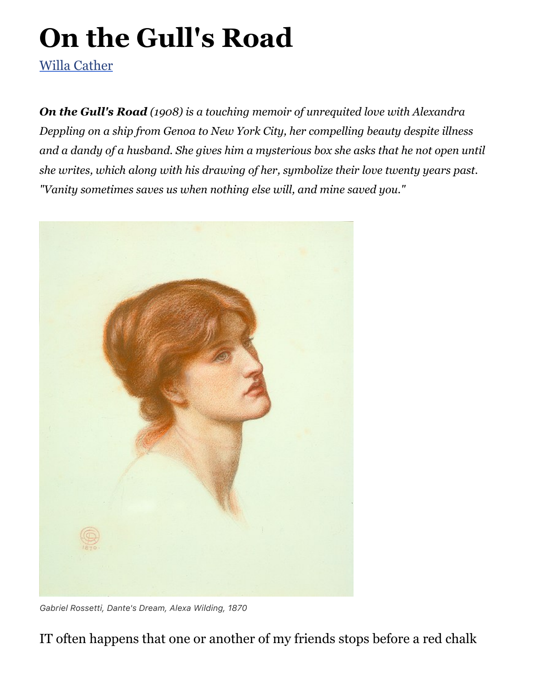## **On the Gull's Road**

[Willa Cather](https://americanliterature.com/author/willa-cather)

*On the Gull's Road (1908) is a touching memoir of unrequited love with Alexandra Deppling on a ship from Genoa to New York City, her compelling beauty despite illness and a dandy of a husband. She gives him a mysterious box she asks that he not open until she writes, which along with his drawing of her, symbolize their love twenty years past. "Vanity sometimes saves us when nothing else will, and mine saved you."*



*Gabriel Rossetti, Dante's Dream, Alexa Wilding, 1870*

IT often happens that one or another of my friends stops before a red chalk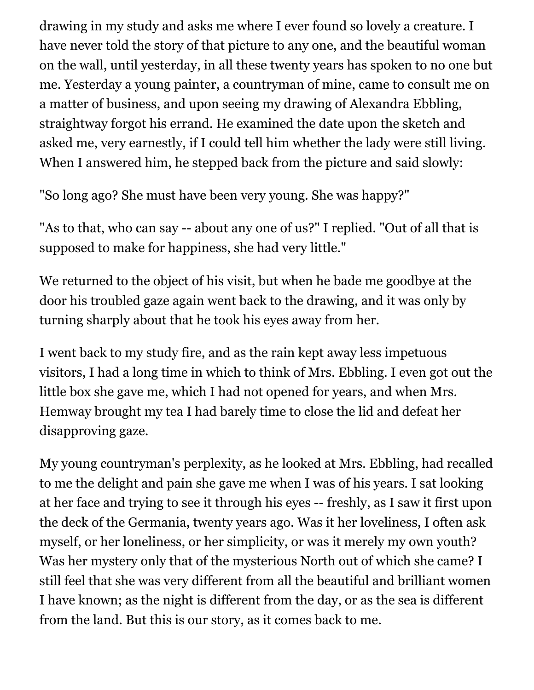drawing in my study and asks me where I ever found so lovely a creature. I have never told the story of that picture to any one, and the beautiful woman on the wall, until yesterday, in all these twenty years has spoken to no one but me. Yesterday a young painter, a countryman of mine, came to consult me on a matter of business, and upon seeing my drawing of Alexandra Ebbling, straightway forgot his errand. He examined the date upon the sketch and asked me, very earnestly, if I could tell him whether the lady were still living. When I answered him, he stepped back from the picture and said slowly:

"So long ago? She must have been very young. She was happy?"

"As to that, who can say -- about any one of us?" I replied. "Out of all that is supposed to make for happiness, she had very little."

We returned to the object of his visit, but when he bade me goodbye at the door his troubled gaze again went back to the drawing, and it was only by turning sharply about that he took his eyes away from her.

I went back to my study fire, and as the rain kept away less impetuous visitors, I had a long time in which to think of Mrs. Ebbling. I even got out the little box she gave me, which I had not opened for years, and when Mrs. Hemway brought my tea I had barely time to close the lid and defeat her disapproving gaze.

My young countryman's perplexity, as he looked at Mrs. Ebbling, had recalled to me the delight and pain she gave me when I was of his years. I sat looking at her face and trying to see it through his eyes -- freshly, as I saw it first upon the deck of the Germania, twenty years ago. Was it her loveliness, I often ask myself, or her loneliness, or her simplicity, or was it merely my own youth? Was her mystery only that of the mysterious North out of which she came? I still feel that she was very different from all the beautiful and brilliant women I have known; as the night is different from the day, or as the sea is different from the land. But this is our story, as it comes back to me.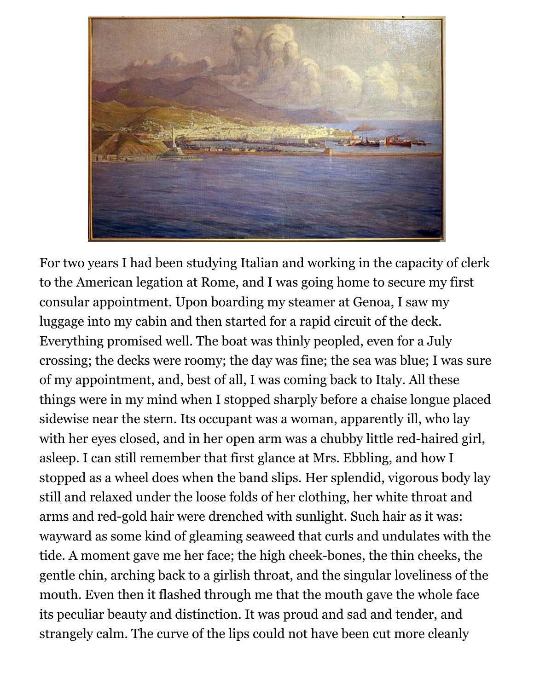

For two years I had been studying Italian and working in the capacity of clerk to the American legation at Rome, and I was going home to secure my first consular appointment. Upon boarding my steamer at Genoa, I saw my luggage into my cabin and then started for a rapid circuit of the deck. Everything promised well. The boat was thinly peopled, even for a July crossing; the decks were roomy; the day was fine; the sea was blue; I was sure of my appointment, and, best of all, I was coming back to Italy. All these things were in my mind when I stopped sharply before a chaise longue placed sidewise near the stern. Its occupant was a woman, apparently ill, who lay with her eyes closed, and in her open arm was a chubby little red-haired girl, asleep. I can still remember that first glance at Mrs. Ebbling, and how I stopped as a wheel does when the band slips. Her splendid, vigorous body lay still and relaxed under the loose folds of her clothing, her white throat and arms and red-gold hair were drenched with sunlight. Such hair as it was: wayward as some kind of gleaming seaweed that curls and undulates with the tide. A moment gave me her face; the high cheek-bones, the thin cheeks, the gentle chin, arching back to a girlish throat, and the singular loveliness of the mouth. Even then it flashed through me that the mouth gave the whole face its peculiar beauty and distinction. It was proud and sad and tender, and strangely calm. The curve of the lips could not have been cut more cleanly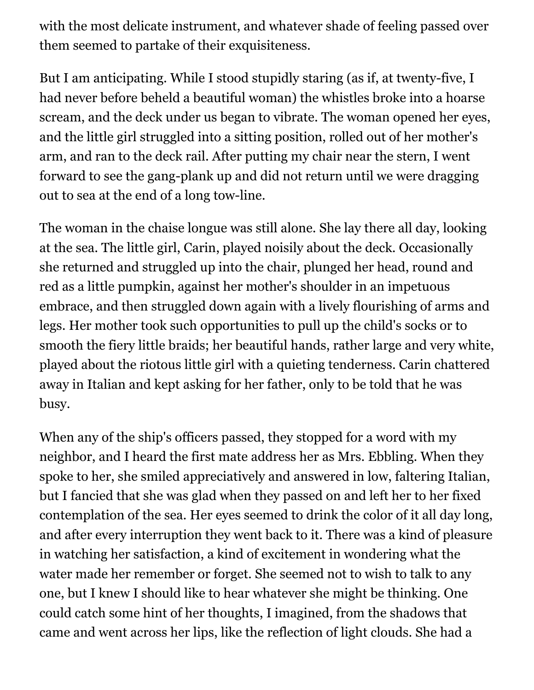with the most delicate instrument, and whatever shade of feeling passed over them seemed to partake of their exquisiteness.

But I am anticipating. While I stood stupidly staring (as if, at twenty-five, I had never before beheld a beautiful woman) the whistles broke into a hoarse scream, and the deck under us began to vibrate. The woman opened her eyes, and the little girl struggled into a sitting position, rolled out of her mother's arm, and ran to the deck rail. After putting my chair near the stern, I went forward to see the gang-plank up and did not return until we were dragging out to sea at the end of a long tow-line.

The woman in the chaise longue was still alone. She lay there all day, looking at the sea. The little girl, Carin, played noisily about the deck. Occasionally she returned and struggled up into the chair, plunged her head, round and red as a little pumpkin, against her mother's shoulder in an impetuous embrace, and then struggled down again with a lively flourishing of arms and legs. Her mother took such opportunities to pull up the child's socks or to smooth the fiery little braids; her beautiful hands, rather large and very white, played about the riotous little girl with a quieting tenderness. Carin chattered away in Italian and kept asking for her father, only to be told that he was busy.

When any of the ship's officers passed, they stopped for a word with my neighbor, and I heard the first mate address her as Mrs. Ebbling. When they spoke to her, she smiled appreciatively and answered in low, faltering Italian, but I fancied that she was glad when they passed on and left her to her fixed contemplation of the sea. Her eyes seemed to drink the color of it all day long, and after every interruption they went back to it. There was a kind of pleasure in watching her satisfaction, a kind of excitement in wondering what the water made her remember or forget. She seemed not to wish to talk to any one, but I knew I should like to hear whatever she might be thinking. One could catch some hint of her thoughts, I imagined, from the shadows that came and went across her lips, like the reflection of light clouds. She had a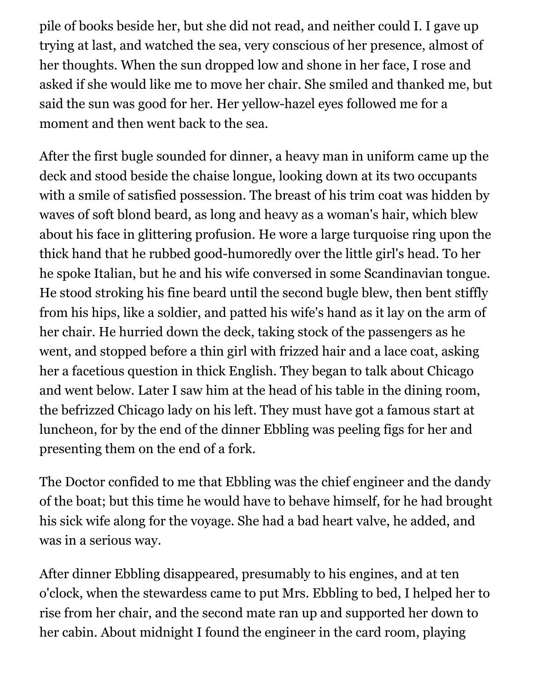pile of books beside her, but she did not read, and neither could I. I gave up trying at last, and watched the sea, very conscious of her presence, almost of her thoughts. When the sun dropped low and shone in her face, I rose and asked if she would like me to move her chair. She smiled and thanked me, but said the sun was good for her. Her yellow-hazel eyes followed me for a moment and then went back to the sea.

After the first bugle sounded for dinner, a heavy man in uniform came up the deck and stood beside the chaise longue, looking down at its two occupants with a smile of satisfied possession. The breast of his trim coat was hidden by waves of soft blond beard, as long and heavy as a woman's hair, which blew about his face in glittering profusion. He wore a large turquoise ring upon the thick hand that he rubbed good-humoredly over the little girl's head. To her he spoke Italian, but he and his wife conversed in some Scandinavian tongue. He stood stroking his fine beard until the second bugle blew, then bent stiffly from his hips, like a soldier, and patted his wife's hand as it lay on the arm of her chair. He hurried down the deck, taking stock of the passengers as he went, and stopped before a thin girl with frizzed hair and a lace coat, asking her a facetious question in thick English. They began to talk about Chicago and went below. Later I saw him at the head of his table in the dining room, the befrizzed Chicago lady on his left. They must have got a famous start at luncheon, for by the end of the dinner Ebbling was peeling figs for her and presenting them on the end of a fork.

The Doctor confided to me that Ebbling was the chief engineer and the dandy of the boat; but this time he would have to behave himself, for he had brought his sick wife along for the voyage. She had a bad heart valve, he added, and was in a serious way.

After dinner Ebbling disappeared, presumably to his engines, and at ten o'clock, when the stewardess came to put Mrs. Ebbling to bed, I helped her to rise from her chair, and the second mate ran up and supported her down to her cabin. About midnight I found the engineer in the card room, playing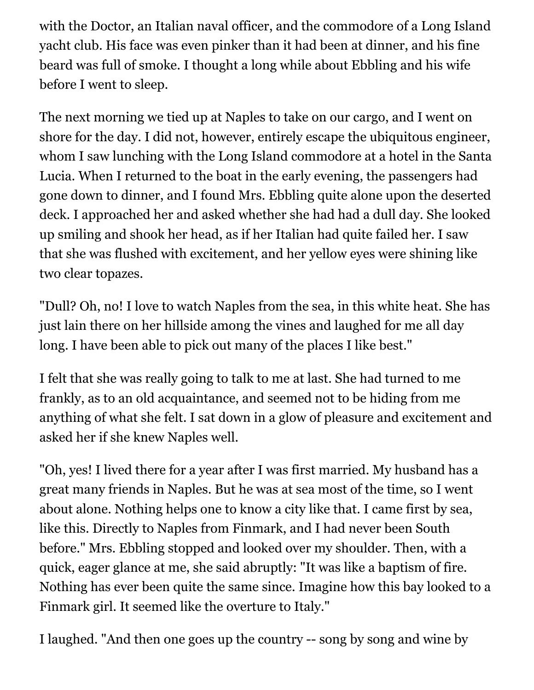with the Doctor, an Italian naval officer, and the commodore of a Long Island yacht club. His face was even pinker than it had been at dinner, and his fine beard was full of smoke. I thought a long while about Ebbling and his wife before I went to sleep.

The next morning we tied up at Naples to take on our cargo, and I went on shore for the day. I did not, however, entirely escape the ubiquitous engineer, whom I saw lunching with the Long Island commodore at a hotel in the Santa Lucia. When I returned to the boat in the early evening, the passengers had gone down to dinner, and I found Mrs. Ebbling quite alone upon the deserted deck. I approached her and asked whether she had had a dull day. She looked up smiling and shook her head, as if her Italian had quite failed her. I saw that she was flushed with excitement, and her yellow eyes were shining like two clear topazes.

"Dull? Oh, no! I love to watch Naples from the sea, in this white heat. She has just lain there on her hillside among the vines and laughed for me all day long. I have been able to pick out many of the places I like best."

I felt that she was really going to talk to me at last. She had turned to me frankly, as to an old acquaintance, and seemed not to be hiding from me anything of what she felt. I sat down in a glow of pleasure and excitement and asked her if she knew Naples well.

"Oh, yes! I lived there for a year after I was first married. My husband has a great many friends in Naples. But he was at sea most of the time, so I went about alone. Nothing helps one to know a city like that. I came first by sea, like this. Directly to Naples from Finmark, and I had never been South before." Mrs. Ebbling stopped and looked over my shoulder. Then, with a quick, eager glance at me, she said abruptly: "It was like a baptism of fire. Nothing has ever been quite the same since. Imagine how this bay looked to a Finmark girl. It seemed like the overture to Italy."

I laughed. "And then one goes up the country -- song by song and wine by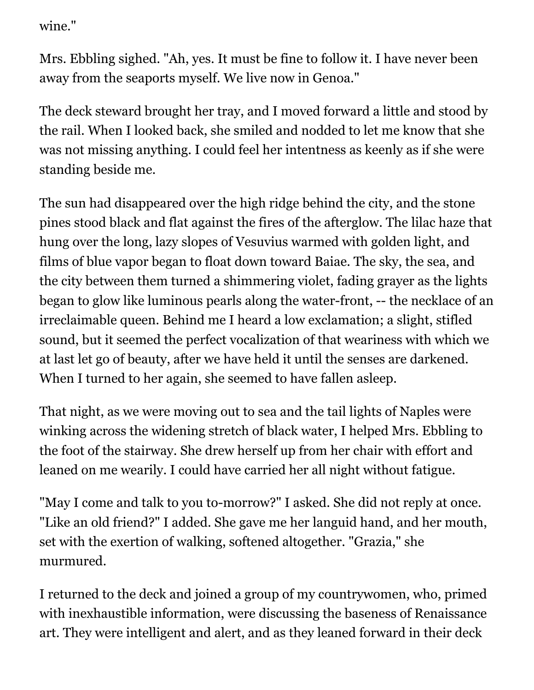wine."

Mrs. Ebbling sighed. "Ah, yes. It must be fine to follow it. I have never been away from the seaports myself. We live now in Genoa."

The deck steward brought her tray, and I moved forward a little and stood by the rail. When I looked back, she smiled and nodded to let me know that she was not missing anything. I could feel her intentness as keenly as if she were standing beside me.

The sun had disappeared over the high ridge behind the city, and the stone pines stood black and flat against the fires of the afterglow. The lilac haze that hung over the long, lazy slopes of Vesuvius warmed with golden light, and films of blue vapor began to float down toward Baiae. The sky, the sea, and the city between them turned a shimmering violet, fading grayer as the lights began to glow like luminous pearls along the water-front, -- the necklace of an irreclaimable queen. Behind me I heard a low exclamation; a slight, stifled sound, but it seemed the perfect vocalization of that weariness with which we at last let go of beauty, after we have held it until the senses are darkened. When I turned to her again, she seemed to have fallen asleep.

That night, as we were moving out to sea and the tail lights of Naples were winking across the widening stretch of black water, I helped Mrs. Ebbling to the foot of the stairway. She drew herself up from her chair with effort and leaned on me wearily. I could have carried her all night without fatigue.

"May I come and talk to you to-morrow?" I asked. She did not reply at once. "Like an old friend?" I added. She gave me her languid hand, and her mouth, set with the exertion of walking, softened altogether. "Grazia," she murmured.

I returned to the deck and joined a group of my countrywomen, who, primed with inexhaustible information, were discussing the baseness of Renaissance art. They were intelligent and alert, and as they leaned forward in their deck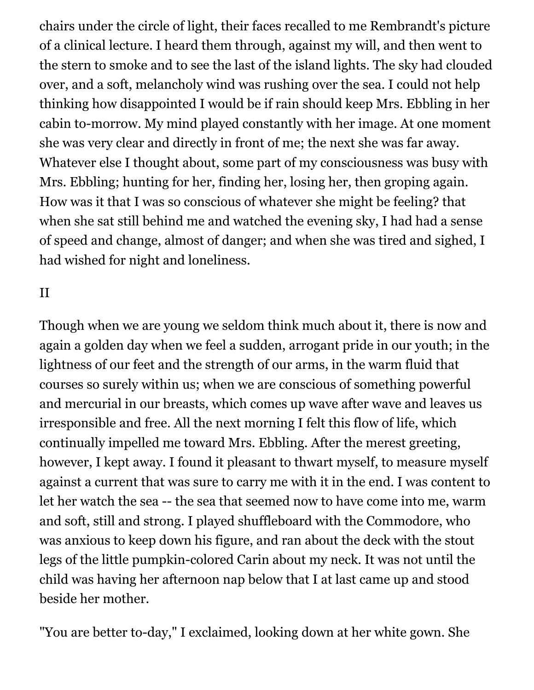chairs under the circle of light, their faces recalled to me Rembrandt's picture of a clinical lecture. I heard them through, against my will, and then went to the stern to smoke and to see the last of the island lights. The sky had clouded over, and a soft, melancholy wind was rushing over the sea. I could not help thinking how disappointed I would be if rain should keep Mrs. Ebbling in her cabin to-morrow. My mind played constantly with her image. At one moment she was very clear and directly in front of me; the next she was far away. Whatever else I thought about, some part of my consciousness was busy with Mrs. Ebbling; hunting for her, finding her, losing her, then groping again. How was it that I was so conscious of whatever she might be feeling? that when she sat still behind me and watched the evening sky, I had had a sense of speed and change, almost of danger; and when she was tired and sighed, I had wished for night and loneliness.

## II

Though when we are young we seldom think much about it, there is now and again a golden day when we feel a sudden, arrogant pride in our youth; in the lightness of our feet and the strength of our arms, in the warm fluid that courses so surely within us; when we are conscious of something powerful and mercurial in our breasts, which comes up wave after wave and leaves us irresponsible and free. All the next morning I felt this flow of life, which continually impelled me toward Mrs. Ebbling. After the merest greeting, however, I kept away. I found it pleasant to thwart myself, to measure myself against a current that was sure to carry me with it in the end. I was content to let her watch the sea -- the sea that seemed now to have come into me, warm and soft, still and strong. I played shuffleboard with the Commodore, who was anxious to keep down his figure, and ran about the deck with the stout legs of the little pumpkin-colored Carin about my neck. It was not until the child was having her afternoon nap below that I at last came up and stood beside her mother.

"You are better to-day," I exclaimed, looking down at her white gown. She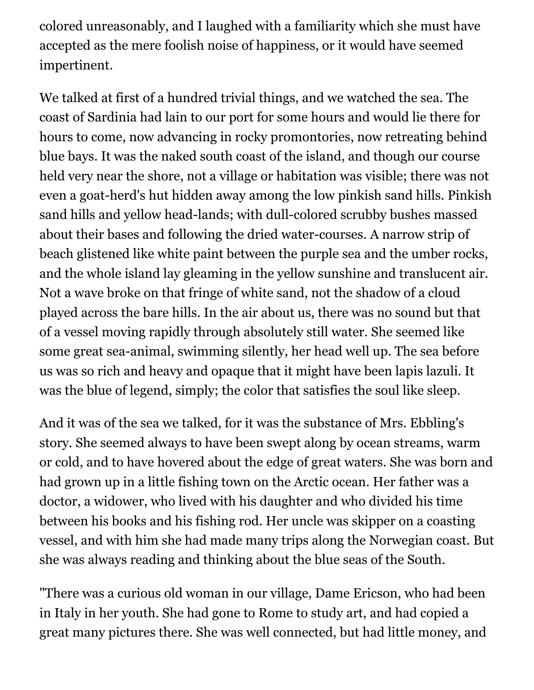colored unreasonably, and I laughed with a familiarity which she must have accepted as the mere foolish noise of happiness, or it would have seemed impertinent.

We talked at first of a hundred trivial things, and we watched the sea. The coast of Sardinia had lain to our port for some hours and would lie there for hours to come, now advancing in rocky promontories, now retreating behind blue bays. It was the naked south coast of the island, and though our course held very near the shore, not a village or habitation was visible; there was not even a goat-herd's hut hidden away among the low pinkish sand hills. Pinkish sand hills and yellow head-lands; with dull-colored scrubby bushes massed about their bases and following the dried water-courses. A narrow strip of beach glistened like white paint between the purple sea and the umber rocks, and the whole island lay gleaming in the yellow sunshine and translucent air. Not a wave broke on that fringe of white sand, not the shadow of a cloud played across the bare hills. In the air about us, there was no sound but that of a vessel moving rapidly through absolutely still water. She seemed like some great sea-animal, swimming silently, her head well up. The sea before us was so rich and heavy and opaque that it might have been lapis lazuli. It was the blue of legend, simply; the color that satisfies the soul like sleep.

And it was of the sea we talked, for it was the substance of Mrs. Ebbling's story. She seemed always to have been swept along by ocean streams, warm or cold, and to have hovered about the edge of great waters. She was born and had grown up in a little fishing town on the Arctic ocean. Her father was a doctor, a widower, who lived with his daughter and who divided his time between his books and his fishing rod. Her uncle was skipper on a coasting vessel, and with him she had made many trips along the Norwegian coast. But she was always reading and thinking about the blue seas of the South.

"There was a curious old woman in our village, Dame Ericson, who had been in Italy in her youth. She had gone to Rome to study art, and had copied a great many pictures there. She was well connected, but had little money, and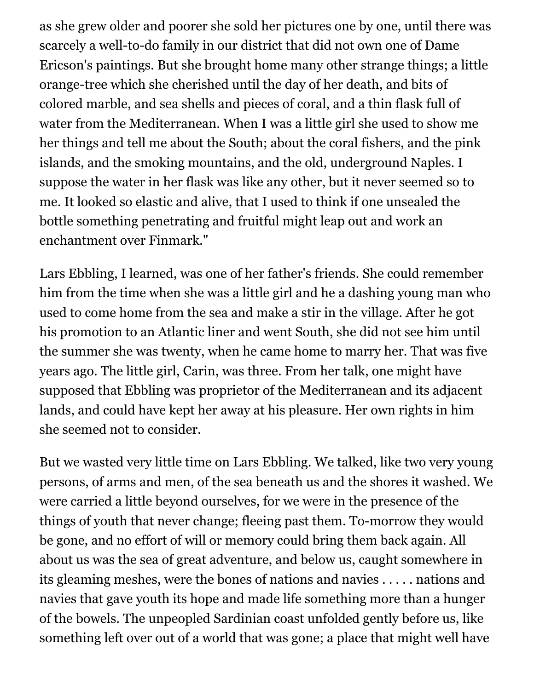as she grew older and poorer she sold her pictures one by one, until there was scarcely a well-to-do family in our district that did not own one of Dame Ericson's paintings. But she brought home many other strange things; a little orange-tree which she cherished until the day of her death, and bits of colored marble, and sea shells and pieces of coral, and a thin flask full of water from the Mediterranean. When I was a little girl she used to show me her things and tell me about the South; about the coral fishers, and the pink islands, and the smoking mountains, and the old, underground Naples. I suppose the water in her flask was like any other, but it never seemed so to me. It looked so elastic and alive, that I used to think if one unsealed the bottle something penetrating and fruitful might leap out and work an enchantment over Finmark."

Lars Ebbling, I learned, was one of her father's friends. She could remember him from the time when she was a little girl and he a dashing young man who used to come home from the sea and make a stir in the village. After he got his promotion to an Atlantic liner and went South, she did not see him until the summer she was twenty, when he came home to marry her. That was five years ago. The little girl, Carin, was three. From her talk, one might have supposed that Ebbling was proprietor of the Mediterranean and its adjacent lands, and could have kept her away at his pleasure. Her own rights in him she seemed not to consider.

But we wasted very little time on Lars Ebbling. We talked, like two very young persons, of arms and men, of the sea beneath us and the shores it washed. We were carried a little beyond ourselves, for we were in the presence of the things of youth that never change; fleeing past them. To-morrow they would be gone, and no effort of will or memory could bring them back again. All about us was the sea of great adventure, and below us, caught somewhere in its gleaming meshes, were the bones of nations and navies . . . . . nations and navies that gave youth its hope and made life something more than a hunger of the bowels. The unpeopled Sardinian coast unfolded gently before us, like something left over out of a world that was gone; a place that might well have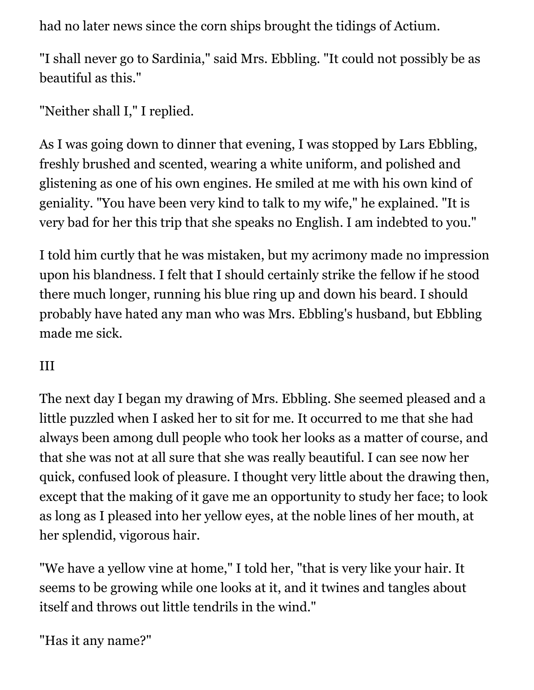had no later news since the corn ships brought the tidings of Actium.

"I shall never go to Sardinia," said Mrs. Ebbling. "It could not possibly be as beautiful as this."

"Neither shall I," I replied.

As I was going down to dinner that evening, I was stopped by Lars Ebbling, freshly brushed and scented, wearing a white uniform, and polished and glistening as one of his own engines. He smiled at me with his own kind of geniality. "You have been very kind to talk to my wife," he explained. "It is very bad for her this trip that she speaks no English. I am indebted to you."

I told him curtly that he was mistaken, but my acrimony made no impression upon his blandness. I felt that I should certainly strike the fellow if he stood there much longer, running his blue ring up and down his beard. I should probably have hated any man who was Mrs. Ebbling's husband, but Ebbling made me sick.

## III

The next day I began my drawing of Mrs. Ebbling. She seemed pleased and a little puzzled when I asked her to sit for me. It occurred to me that she had always been among dull people who took her looks as a matter of course, and that she was not at all sure that she was really beautiful. I can see now her quick, confused look of pleasure. I thought very little about the drawing then, except that the making of it gave me an opportunity to study her face; to look as long as I pleased into her yellow eyes, at the noble lines of her mouth, at her splendid, vigorous hair.

"We have a yellow vine at home," I told her, "that is very like your hair. It seems to be growing while one looks at it, and it twines and tangles about itself and throws out little tendrils in the wind."

"Has it any name?"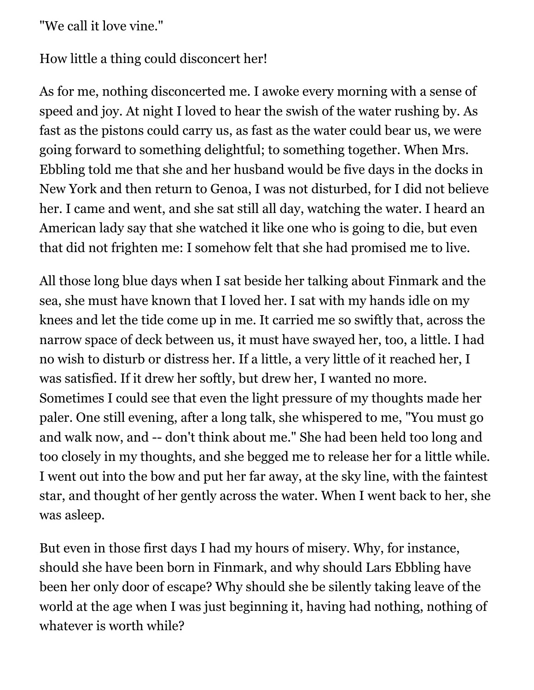"We call it love vine."

How little a thing could disconcert her!

As for me, nothing disconcerted me. I awoke every morning with a sense of speed and joy. At night I loved to hear the swish of the water rushing by. As fast as the pistons could carry us, as fast as the water could bear us, we were going forward to something delightful; to something together. When Mrs. Ebbling told me that she and her husband would be five days in the docks in New York and then return to Genoa, I was not disturbed, for I did not believe her. I came and went, and she sat still all day, watching the water. I heard an American lady say that she watched it like one who is going to die, but even that did not frighten me: I somehow felt that she had promised me to live.

All those long blue days when I sat beside her talking about Finmark and the sea, she must have known that I loved her. I sat with my hands idle on my knees and let the tide come up in me. It carried me so swiftly that, across the narrow space of deck between us, it must have swayed her, too, a little. I had no wish to disturb or distress her. If a little, a very little of it reached her, I was satisfied. If it drew her softly, but drew her, I wanted no more. Sometimes I could see that even the light pressure of my thoughts made her paler. One still evening, after a long talk, she whispered to me, "You must go and walk now, and -- don't think about me." She had been held too long and too closely in my thoughts, and she begged me to release her for a little while. I went out into the bow and put her far away, at the sky line, with the faintest star, and thought of her gently across the water. When I went back to her, she was asleep.

But even in those first days I had my hours of misery. Why, for instance, should she have been born in Finmark, and why should Lars Ebbling have been her only door of escape? Why should she be silently taking leave of the world at the age when I was just beginning it, having had nothing, nothing of whatever is worth while?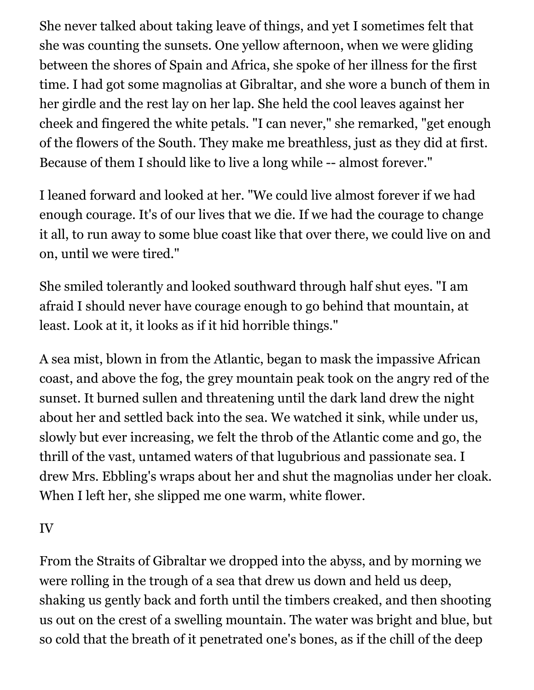She never talked about taking leave of things, and yet I sometimes felt that she was counting the sunsets. One yellow afternoon, when we were gliding between the shores of Spain and Africa, she spoke of her illness for the first time. I had got some magnolias at Gibraltar, and she wore a bunch of them in her girdle and the rest lay on her lap. She held the cool leaves against her cheek and fingered the white petals. "I can never," she remarked, "get enough of the flowers of the South. They make me breathless, just as they did at first. Because of them I should like to live a long while -- almost forever."

I leaned forward and looked at her. "We could live almost forever if we had enough courage. It's of our lives that we die. If we had the courage to change it all, to run away to some blue coast like that over there, we could live on and on, until we were tired."

She smiled tolerantly and looked southward through half shut eyes. "I am afraid I should never have courage enough to go behind that mountain, at least. Look at it, it looks as if it hid horrible things."

A sea mist, blown in from the Atlantic, began to mask the impassive African coast, and above the fog, the grey mountain peak took on the angry red of the sunset. It burned sullen and threatening until the dark land drew the night about her and settled back into the sea. We watched it sink, while under us, slowly but ever increasing, we felt the throb of the Atlantic come and go, the thrill of the vast, untamed waters of that lugubrious and passionate sea. I drew Mrs. Ebbling's wraps about her and shut the magnolias under her cloak. When I left her, she slipped me one warm, white flower.

## IV

From the Straits of Gibraltar we dropped into the abyss, and by morning we were rolling in the trough of a sea that drew us down and held us deep, shaking us gently back and forth until the timbers creaked, and then shooting us out on the crest of a swelling mountain. The water was bright and blue, but so cold that the breath of it penetrated one's bones, as if the chill of the deep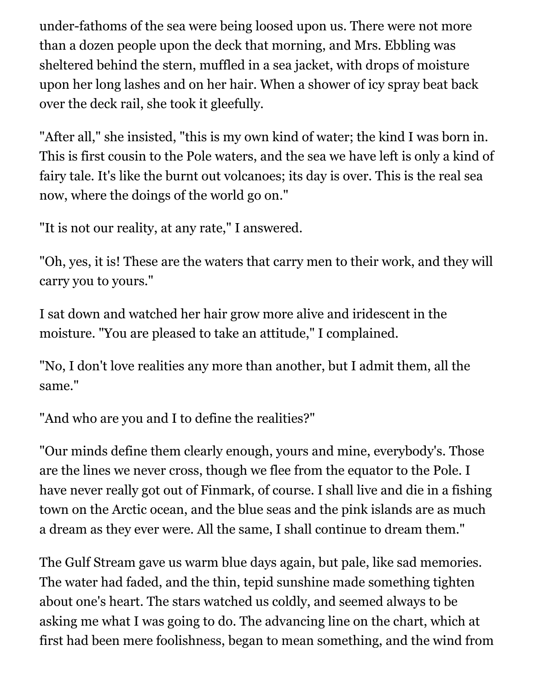under-fathoms of the sea were being loosed upon us. There were not more than a dozen people upon the deck that morning, and Mrs. Ebbling was sheltered behind the stern, muffled in a sea jacket, with drops of moisture upon her long lashes and on her hair. When a shower of icy spray beat back over the deck rail, she took it gleefully.

"After all," she insisted, "this is my own kind of water; the kind I was born in. This is first cousin to the Pole waters, and the sea we have left is only a kind of fairy tale. It's like the burnt out volcanoes; its day is over. This is the real sea now, where the doings of the world go on."

"It is not our reality, at any rate," I answered.

"Oh, yes, it is! These are the waters that carry men to their work, and they will carry you to yours."

I sat down and watched her hair grow more alive and iridescent in the moisture. "You are pleased to take an attitude," I complained.

"No, I don't love realities any more than another, but I admit them, all the same."

"And who are you and I to define the realities?"

"Our minds define them clearly enough, yours and mine, everybody's. Those are the lines we never cross, though we flee from the equator to the Pole. I have never really got out of Finmark, of course. I shall live and die in a fishing town on the Arctic ocean, and the blue seas and the pink islands are as much a dream as they ever were. All the same, I shall continue to dream them."

The Gulf Stream gave us warm blue days again, but pale, like sad memories. The water had faded, and the thin, tepid sunshine made something tighten about one's heart. The stars watched us coldly, and seemed always to be asking me what I was going to do. The advancing line on the chart, which at first had been mere foolishness, began to mean something, and the wind from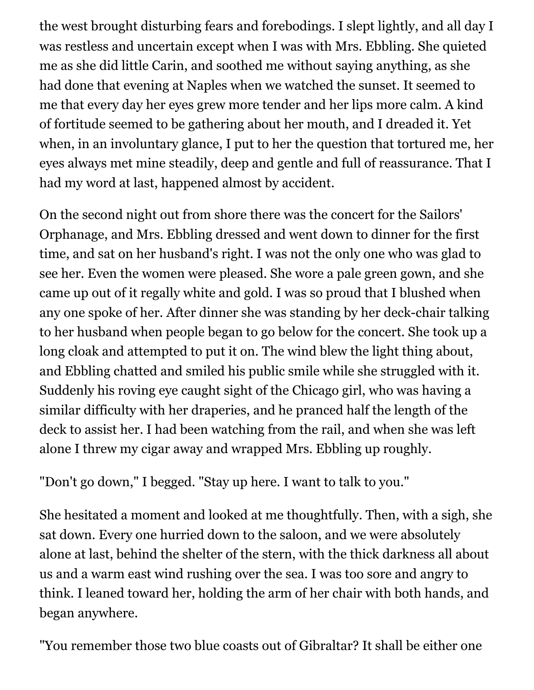the west brought disturbing fears and forebodings. I slept lightly, and all day I was restless and uncertain except when I was with Mrs. Ebbling. She quieted me as she did little Carin, and soothed me without saying anything, as she had done that evening at Naples when we watched the sunset. It seemed to me that every day her eyes grew more tender and her lips more calm. A kind of fortitude seemed to be gathering about her mouth, and I dreaded it. Yet when, in an involuntary glance, I put to her the question that tortured me, her eyes always met mine steadily, deep and gentle and full of reassurance. That I had my word at last, happened almost by accident.

On the second night out from shore there was the concert for the Sailors' Orphanage, and Mrs. Ebbling dressed and went down to dinner for the first time, and sat on her husband's right. I was not the only one who was glad to see her. Even the women were pleased. She wore a pale green gown, and she came up out of it regally white and gold. I was so proud that I blushed when any one spoke of her. After dinner she was standing by her deck-chair talking to her husband when people began to go below for the concert. She took up a long cloak and attempted to put it on. The wind blew the light thing about, and Ebbling chatted and smiled his public smile while she struggled with it. Suddenly his roving eye caught sight of the Chicago girl, who was having a similar difficulty with her draperies, and he pranced half the length of the deck to assist her. I had been watching from the rail, and when she was left alone I threw my cigar away and wrapped Mrs. Ebbling up roughly.

"Don't go down," I begged. "Stay up here. I want to talk to you."

She hesitated a moment and looked at me thoughtfully. Then, with a sigh, she sat down. Every one hurried down to the saloon, and we were absolutely alone at last, behind the shelter of the stern, with the thick darkness all about us and a warm east wind rushing over the sea. I was too sore and angry to think. I leaned toward her, holding the arm of her chair with both hands, and began anywhere.

"You remember those two blue coasts out of Gibraltar? It shall be either one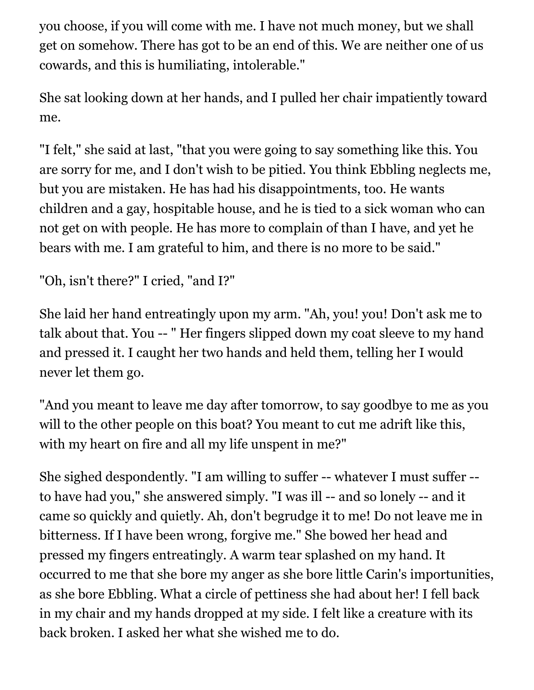you choose, if you will come with me. I have not much money, but we shall get on somehow. There has got to be an end of this. We are neither one of us cowards, and this is humiliating, intolerable."

She sat looking down at her hands, and I pulled her chair impatiently toward me.

"I felt," she said at last, "that you were going to say something like this. You are sorry for me, and I don't wish to be pitied. You think Ebbling neglects me, but you are mistaken. He has had his disappointments, too. He wants children and a gay, hospitable house, and he is tied to a sick woman who can not get on with people. He has more to complain of than I have, and yet he bears with me. I am grateful to him, and there is no more to be said."

```
"Oh, isn't there?" I cried, "and I?"
```
She laid her hand entreatingly upon my arm. "Ah, you! you! Don't ask me to talk about that. You -- " Her fingers slipped down my coat sleeve to my hand and pressed it. I caught her two hands and held them, telling her I would never let them go.

"And you meant to leave me day after tomorrow, to say goodbye to me as you will to the other people on this boat? You meant to cut me adrift like this, with my heart on fire and all my life unspent in me?"

She sighed despondently. "I am willing to suffer -- whatever I must suffer - to have had you," she answered simply. "I was ill -- and so lonely -- and it came so quickly and quietly. Ah, don't begrudge it to me! Do not leave me in bitterness. If I have been wrong, forgive me." She bowed her head and pressed my fingers entreatingly. A warm tear splashed on my hand. It occurred to me that she bore my anger as she bore little Carin's importunities, as she bore Ebbling. What a circle of pettiness she had about her! I fell back in my chair and my hands dropped at my side. I felt like a creature with its back broken. I asked her what she wished me to do.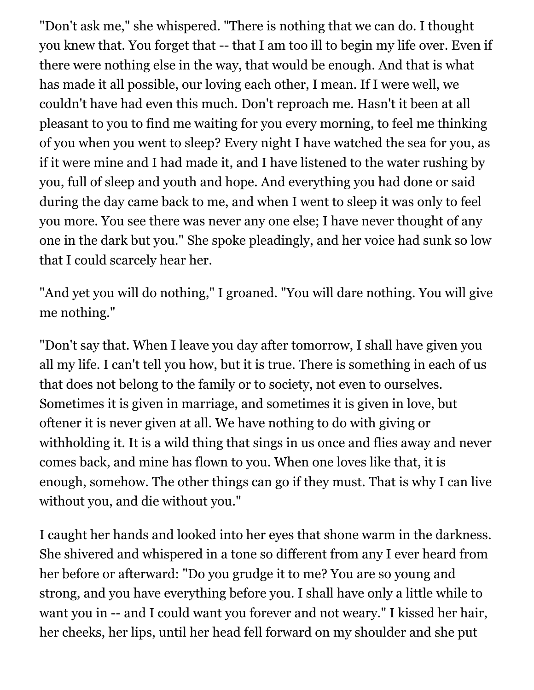"Don't ask me," she whispered. "There is nothing that we can do. I thought you knew that. You forget that -- that I am too ill to begin my life over. Even if there were nothing else in the way, that would be enough. And that is what has made it all possible, our loving each other, I mean. If I were well, we couldn't have had even this much. Don't reproach me. Hasn't it been at all pleasant to you to find me waiting for you every morning, to feel me thinking of you when you went to sleep? Every night I have watched the sea for you, as if it were mine and I had made it, and I have listened to the water rushing by you, full of sleep and youth and hope. And everything you had done or said during the day came back to me, and when I went to sleep it was only to feel you more. You see there was never any one else; I have never thought of any one in the dark but you." She spoke pleadingly, and her voice had sunk so low that I could scarcely hear her.

"And yet you will do nothing," I groaned. "You will dare nothing. You will give me nothing."

"Don't say that. When I leave you day after tomorrow, I shall have given you all my life. I can't tell you how, but it is true. There is something in each of us that does not belong to the family or to society, not even to ourselves. Sometimes it is given in marriage, and sometimes it is given in love, but oftener it is never given at all. We have nothing to do with giving or withholding it. It is a wild thing that sings in us once and flies away and never comes back, and mine has flown to you. When one loves like that, it is enough, somehow. The other things can go if they must. That is why I can live without you, and die without you."

I caught her hands and looked into her eyes that shone warm in the darkness. She shivered and whispered in a tone so different from any I ever heard from her before or afterward: "Do you grudge it to me? You are so young and strong, and you have everything before you. I shall have only a little while to want you in -- and I could want you forever and not weary." I kissed her hair, her cheeks, her lips, until her head fell forward on my shoulder and she put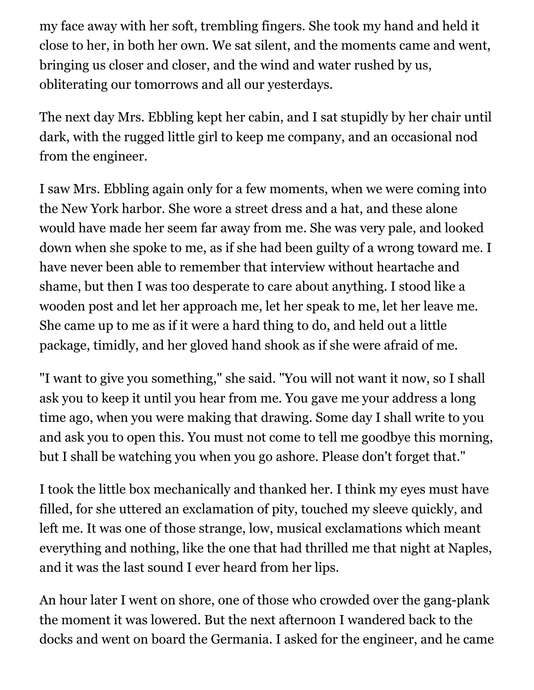my face away with her soft, trembling fingers. She took my hand and held it close to her, in both her own. We sat silent, and the moments came and went, bringing us closer and closer, and the wind and water rushed by us, obliterating our tomorrows and all our yesterdays.

The next day Mrs. Ebbling kept her cabin, and I sat stupidly by her chair until dark, with the rugged little girl to keep me company, and an occasional nod from the engineer.

I saw Mrs. Ebbling again only for a few moments, when we were coming into the New York harbor. She wore a street dress and a hat, and these alone would have made her seem far away from me. She was very pale, and looked down when she spoke to me, as if she had been guilty of a wrong toward me. I have never been able to remember that interview without heartache and shame, but then I was too desperate to care about anything. I stood like a wooden post and let her approach me, let her speak to me, let her leave me. She came up to me as if it were a hard thing to do, and held out a little package, timidly, and her gloved hand shook as if she were afraid of me.

"I want to give you something," she said. "You will not want it now, so I shall ask you to keep it until you hear from me. You gave me your address a long time ago, when you were making that drawing. Some day I shall write to you and ask you to open this. You must not come to tell me goodbye this morning, but I shall be watching you when you go ashore. Please don't forget that."

I took the little box mechanically and thanked her. I think my eyes must have filled, for she uttered an exclamation of pity, touched my sleeve quickly, and left me. It was one of those strange, low, musical exclamations which meant everything and nothing, like the one that had thrilled me that night at Naples, and it was the last sound I ever heard from her lips.

An hour later I went on shore, one of those who crowded over the gang-plank the moment it was lowered. But the next afternoon I wandered back to the docks and went on board the Germania. I asked for the engineer, and he came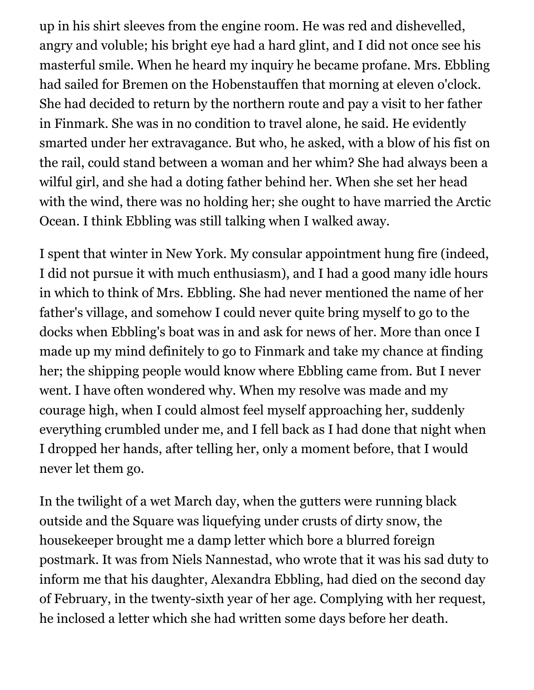up in his shirt sleeves from the engine room. He was red and dishevelled, angry and voluble; his bright eye had a hard glint, and I did not once see his masterful smile. When he heard my inquiry he became profane. Mrs. Ebbling had sailed for Bremen on the Hobenstauffen that morning at eleven o'clock. She had decided to return by the northern route and pay a visit to her father in Finmark. She was in no condition to travel alone, he said. He evidently smarted under her extravagance. But who, he asked, with a blow of his fist on the rail, could stand between a woman and her whim? She had always been a wilful girl, and she had a doting father behind her. When she set her head with the wind, there was no holding her; she ought to have married the Arctic Ocean. I think Ebbling was still talking when I walked away.

I spent that winter in New York. My consular appointment hung fire (indeed, I did not pursue it with much enthusiasm), and I had a good many idle hours in which to think of Mrs. Ebbling. She had never mentioned the name of her father's village, and somehow I could never quite bring myself to go to the docks when Ebbling's boat was in and ask for news of her. More than once I made up my mind definitely to go to Finmark and take my chance at finding her; the shipping people would know where Ebbling came from. But I never went. I have often wondered why. When my resolve was made and my courage high, when I could almost feel myself approaching her, suddenly everything crumbled under me, and I fell back as I had done that night when I dropped her hands, after telling her, only a moment before, that I would never let them go.

In the twilight of a wet March day, when the gutters were running black outside and the Square was liquefying under crusts of dirty snow, the housekeeper brought me a damp letter which bore a blurred foreign postmark. It was from Niels Nannestad, who wrote that it was his sad duty to inform me that his daughter, Alexandra Ebbling, had died on the second day of February, in the twenty-sixth year of her age. Complying with her request, he inclosed a letter which she had written some days before her death.